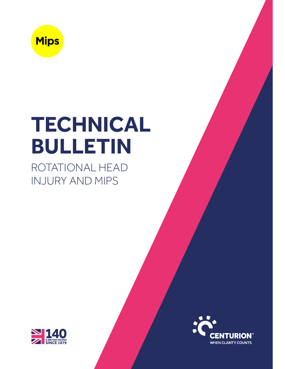

# **TECHNICAL BULLETIN**

ROTATIONAL HEAD INJURY AND MIPS



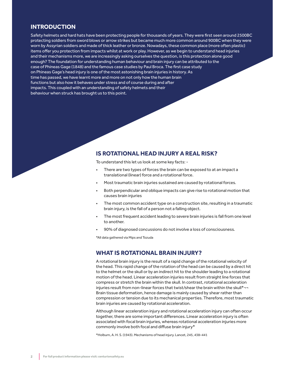## **INTRODUCTION**

Safety helmets and hard hats have been protecting people for thousands of years. They were first seen around 2500BC protecting soldiers from sword blows or arrow strikes but became much more common around 900BC when they were worn by Assyrian soldiers and made of thick leather or bronze. Nowadays, these common place (more often plastic) items offer you protection from impacts whilst at work or play. However, as we begin to understand head injuries and their mechanisms more, we are increasingly asking ourselves the question, is this protection alone good enough? The foundation for understanding human behaviour and brain injury can be attributed to the case of Phineas Gage (1848) and the famous case studies by Paul Broca. The first case study on Phineas Gage's head injury is one of the most astonishing brain injuries in history. As time has passed, we have learnt more and more on not only how the human brain functions but also how it behaves under stress and of course during and after impacts. This coupled with an understanding of safety helmets and their behaviour when struck has brought us to this point.

## **IS ROTATIONAL HEAD INJURY A REAL RISK?**

To understand this let us look at some key facts: -

- There are two types of forces the brain can be exposed to at an impact a translational (linear) force and a rotational force.
- Most traumatic brain injuries sustained are caused by rotational forces.
- Both perpendicular and oblique impacts can give rise to rotational motion that causes brain injuries
- The most common accident type on a construction site, resulting in a traumatic brain injury, is the fall of a person not a falling object.
- The most frequent accident leading to severe brain injuries is fall from one level to another.
- 90% of diagnosed concussions do not involve a loss of consciousness.

\*All data gathered via Mips and Tozuda

## **WHAT IS ROTATIONAL BRAIN INJURY?**

A rotational brain injury is the result of a rapid change of the rotational velocity of the head. This rapid change of the rotation of the head can be caused by a direct hit to the helmet or the skull or by an indirect hit to the shoulder leading to a rotational motion of the head. Linear acceleration injuries result from straight line forces that compress or stretch the brain within the skull. In contrast, rotational acceleration injuries result from non-linear forces that twist/shear the brain within the skull\*¬¬ Brain tissue deformation, hence damage is mainly caused by shear rather than compression or tension due to its mechanical properties. Therefore, most traumatic brain injuries are caused by rotational acceleration.

Although linear acceleration injury and rotational acceleration injury can often occur together, there are some important differences. Linear acceleration injury is often associated with focal brain injuries, whereas rotational acceleration injuries more commonly involve both focal and diffuse brain injury\*

\*Holburn, A. H. S. (1943). Mechanisms of head injury. Lancet, 245, 438–441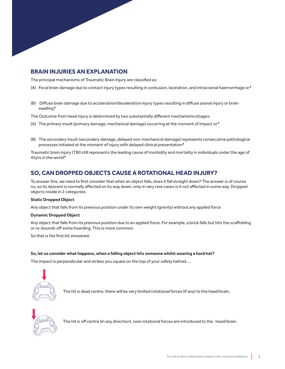# **BRAIN INJURIES AN EXPLANATION**

The principal mechanisms of Traumatic Brain Injury are classified as:

- (A) Focal brain damage due to contact injury types resulting in contusion, laceration, and intracranial haemorrhage or\*
- (B) Diffuse brain damage due to acceleration/deceleration injury types resulting in diffuse axonal injury or brain swelling\*

The Outcome from head injury is determined by two substantially different mechanisms/stages:

- (A) The primary insult (primary damage, mechanical damage) occurring at the moment of impact or\*
- (B) The secondary insult (secondary damage, delayed non-mechanical damage) represents consecutive pathological processes initiated at the moment of injury with delayed clinical presentation\*

Traumatic brain injury (TBI) still represents the leading cause of morbidity and mortality in individuals under the age of 45yrs in the world\*

# **SO, CAN DROPPED OBJECTS CAUSE A ROTATIONAL HEAD INJURY?**

To answer this, we need to first consider that when an object falls, does it fall straight down? The answer is of course no, as its descent is normally affected on its way down, only in very rare cases is it not affected in some way. Dropped objects reside in 2 categories:

#### **Static Dropped Object**

Any object that falls from its previous position under its own weight (gravity) without any applied force

#### **Dynamic Dropped Object**

Any object that falls from its previous position due to an applied force. For example, a brick falls but hits the scaffolding or re-bounds off some hoarding. This is more common.

So that is the first bit answered.

#### **So, let us consider what happens, when a falling object hits someone whilst wearing a hard hat?**

The impact is perpendicular and strikes you square on the top of your safety helmet….



The hit is dead centre, there will be very limited rotational forces (if any) to the head/brain.



The hit is off centre (in any direction), now rotational forces are introduced to the head/brain.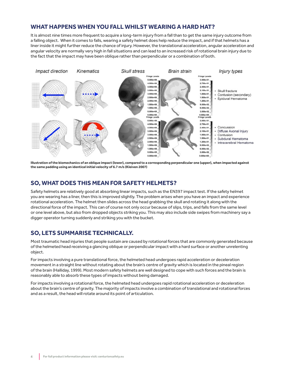## **WHAT HAPPENS WHEN YOU FALL WHILST WEARING A HARD HAT?**

It is almost nine times more frequent to acquire a long-term injury from a fall than to get the same injury outcome from a falling object. When it comes to falls, wearing a safety helmet does help reduce the impact, and if that helmets has a liner inside it might further reduce the chance of injury. However, the translational acceleration, angular acceleration and angular velocity are normally very high in fall situations and can lead to an increased risk of rotational brain injury due to the fact that the impact may have been oblique rather than perpendicular or a combination of both.



**Illustration of the biomechanics of an oblique impact (lower), compared to a corresponding perpendicular one (upper), when impacted against**  the same padding using an identical initial velocity of 6.7 m/s (Kleiven 2007)

## **SO, WHAT DOES THIS MEAN FOR SAFETY HELMETS?**

Safety helmets are relatively good at absorbing linear impacts, such as the EN397 impact test. If the safety helmet you are wearing has a liner, then this is improved slightly. The problem arises when you have an impact and experience rotational acceleration. The helmet then slides across the head grabbing the skull and rotating it along with the directional force of the impact. This can of course not only occur because of slips, trips, and falls from the same level or one level above, but also from dropped objects striking you. This may also include side swipes from machinery say a digger operator turning suddenly and striking you with the bucket.

## **SO, LETS SUMMARISE TECHNICALLY.**

Most traumatic head injuries that people sustain are caused by rotational forces that are commonly generated because of the helmeted head receiving a glancing oblique or perpendicular impact with a hard surface or another unrelenting object.

For impacts involving a pure translational force, the helmeted head undergoes rapid acceleration or deceleration movement in a straight line without rotating about the brain's centre of gravity which is located in the pineal region of the brain (Halliday, 1999). Most modern safety helmets are well designed to cope with such forces and the brain is reasonably able to absorb these types of impacts without being damaged.

For impacts involving a rotational force, the helmeted head undergoes rapid rotational acceleration or deceleration about the brain's centre of gravity. The majority of impacts involve a combination of translational and rotational forces and as a result, the head will rotate around its point of articulation.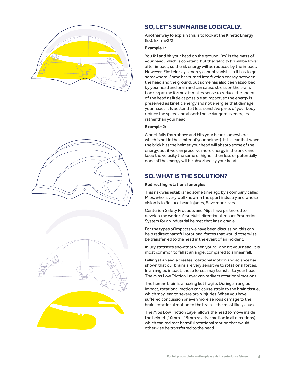





# **SO, LET'S SUMMARISE LOGICALLY.**

Another way to explain this is to look at the Kinetic Energy (Ek). Ek=mv2/2.

### **Example 1:**

You fall and hit your head on the ground. "m" is the mass of your head, which is constant, but the velocity (v) will be lower after impact, so the Ek energy will be reduced by the impact. However, Einstein says energy cannot vanish, so it has to go somewhere. Some has turned into friction energy between the head and the ground, but some has also been absorbed by your head and brain and can cause stress on the brain. Looking at the formula it makes sense to reduce the speed of the head as little as possible at impact, so the energy is preserved as kinetic energy and not energies that damage your head. It is better that less sensitive parts of your body reduce the speed and absorb these dangerous energies rather than your head.

## **Example 2:**

A brick falls from above and hits your head (somewhere which is not in the center of your helmet). It is clear that when the brick hits the helmet your head will absorb some of the energy, but if we can preserve more energy in the brick and keep the velocity the same or higher, then less or potentially none of the energy will be absorbed by your head.

# **SO, WHAT IS THE SOLUTION?**

#### **Redirecting rotational energies**

This risk was established some time ago by a company called Mips, who is very well known in the sport industry and whose vision is to Reduce head injuries, Save more lives.

Centurion Safety Products and Mips have partnered to develop the world's first Multi-directional Impact Protection System for an industrial helmet that has a cradle.

For the types of impacts we have been discussing, this can help redirect harmful rotational forces that would otherwise be transferred to the head in the event of an incident.

Injury statistics show that when you fall and hit your head, it is most common to fall at an angle, compared to a linear fall.

Falling at an angle creates rotational motion and science has shown that our brains are very sensitive to rotational forces. In an angled impact, these forces may transfer to your head. The Mips Low Friction Layer can redirect rotational motions.

The human brain is amazing but fragile. During an angled impact, rotational motion can cause strain to the brain tissue, which may lead to severe brain injuries. When you have suffered concussion or even more serious damage to the brain, rotational motion to the brain is the most likely cause.

The Mips Low Friction Layer allows the head to move inside the helmet (10mm – 15mm relative motion in all directions) which can redirect harmful rotational motion that would otherwise be transferred to the head.